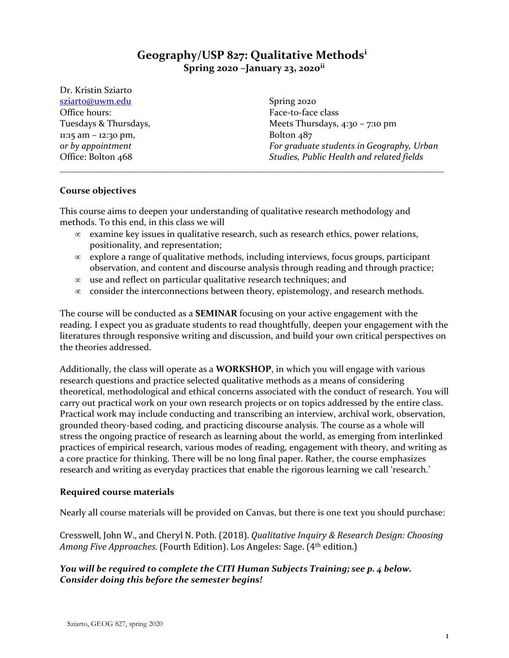# **Geography/USP 827: Qualitative Methods[i](#page-15-0) Spring 2020 –January 23, 2020[ii](#page-15-1)**

Dr. Kristin Sziarto [sziarto@uwm.edu](mailto:sziarto@uwm.edu) Office hours: Tuesdays & Thursdays, 11:15 am – 12:30 pm, *or by appointment* Office: Bolton 468

Spring 2020 Face-to-face class Meets Thursdays, 4:30 - 7:10 pm Bolton 487 *For graduate students in Geography, Urban Studies, Public Health and related fields*

# **Course objectives**

This course aims to deepen your understanding of qualitative research methodology and methods. To this end, in this class we will

 $\infty$  examine key issues in qualitative research, such as research ethics, power relations, positionality, and representation;

\_\_\_\_\_\_\_\_\_\_\_\_\_\_\_\_\_\_\_\_\_\_\_\_\_\_\_\_\_\_\_\_\_\_\_\_\_\_\_\_\_\_\_\_\_\_\_\_\_\_\_\_\_\_\_\_\_\_\_\_\_\_\_\_\_\_\_\_\_\_\_\_\_\_\_\_\_\_\_\_\_\_\_\_

- ∝ explore a range of qualitative methods, including interviews, focus groups, participant observation, and content and discourse analysis through reading and through practice;
- ∝ use and reflect on particular qualitative research techniques; and
- ∝ consider the interconnections between theory, epistemology, and research methods.

The course will be conducted as a **SEMINAR** focusing on your active engagement with the reading. I expect you as graduate students to read thoughtfully, deepen your engagement with the literatures through responsive writing and discussion, and build your own critical perspectives on the theories addressed.

Additionally, the class will operate as a **WORKSHOP**, in which you will engage with various research questions and practice selected qualitative methods as a means of considering theoretical, methodological and ethical concerns associated with the conduct of research. You will carry out practical work on your own research projects or on topics addressed by the entire class. Practical work may include conducting and transcribing an interview, archival work, observation, grounded theory-based coding, and practicing discourse analysis. The course as a whole will stress the ongoing practice of research as learning about the world, as emerging from interlinked practices of empirical research, various modes of reading, engagement with theory, and writing as a core practice for thinking. There will be no long final paper. Rather, the course emphasizes research and writing as everyday practices that enable the rigorous learning we call 'research.'

# **Required course materials**

Nearly all course materials will be provided on Canvas, but there is one text you should purchase:

Cresswell, John W., and Cheryl N. Poth. (2018). *Qualitative Inquiry & Research Design: Choosing Among Five Approaches.* (Fourth Edition). Los Angeles: Sage. (4th edition.)

# *You will be required to complete the CITI Human Subjects Training; see p. 4 below. Consider doing this before the semester begins!*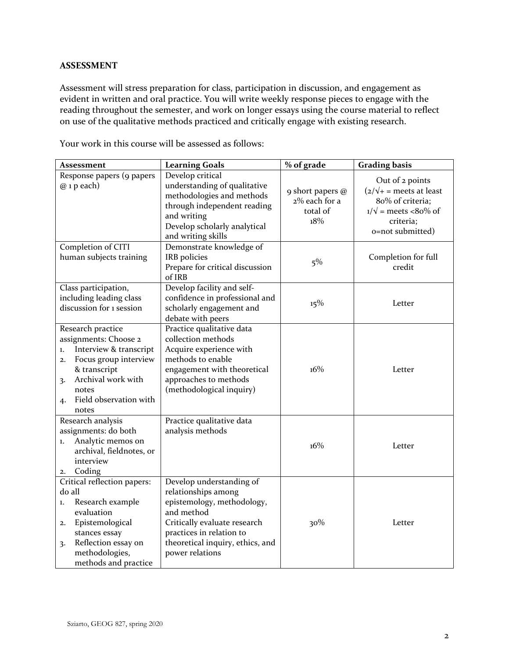# **ASSESSMENT**

Assessment will stress preparation for class, participation in discussion, and engagement as evident in written and oral practice. You will write weekly response pieces to engage with the reading throughout the semester, and work on longer essays using the course material to reflect on use of the qualitative methods practiced and critically engage with existing research.

Your work in this course will be assessed as follows:

| <b>Assessment</b>                                                                                                                                                                                       | <b>Learning Goals</b>                                                                                                                                                                                          | % of grade                                           | <b>Grading basis</b>                                                                                                                               |
|---------------------------------------------------------------------------------------------------------------------------------------------------------------------------------------------------------|----------------------------------------------------------------------------------------------------------------------------------------------------------------------------------------------------------------|------------------------------------------------------|----------------------------------------------------------------------------------------------------------------------------------------------------|
| Response papers (9 papers<br>$@$ 1 p each)                                                                                                                                                              | Develop critical<br>understanding of qualitative<br>methodologies and methods<br>through independent reading<br>and writing<br>Develop scholarly analytical<br>and writing skills                              | 9 short papers @<br>2% each for a<br>total of<br>18% | Out of 2 points<br>$\left(2/\sqrt{+}\right)$ = meets at least<br>80% of criteria;<br>$1/\sqrt{ }$ = meets <80% of<br>criteria;<br>o=not submitted) |
| Completion of CITI<br>human subjects training                                                                                                                                                           | Demonstrate knowledge of<br>IRB policies<br>Prepare for critical discussion<br>of IRB                                                                                                                          | $5\%$                                                | Completion for full<br>credit                                                                                                                      |
| Class participation,<br>including leading class<br>discussion for 1 session                                                                                                                             | Develop facility and self-<br>confidence in professional and<br>scholarly engagement and<br>debate with peers                                                                                                  | 15%                                                  | Letter                                                                                                                                             |
| Research practice<br>assignments: Choose 2<br>Interview & transcript<br>1.<br>Focus group interview<br>2.<br>& transcript<br>Archival work with<br>3.<br>notes<br>Field observation with<br>4.<br>notes | Practice qualitative data<br>collection methods<br>Acquire experience with<br>methods to enable<br>engagement with theoretical<br>approaches to methods<br>(methodological inquiry)                            | 16%                                                  | Letter                                                                                                                                             |
| Research analysis<br>assignments: do both<br>Analytic memos on<br>1.<br>archival, fieldnotes, or<br>interview<br>Coding<br>2.                                                                           | Practice qualitative data<br>analysis methods                                                                                                                                                                  | 16%                                                  | Letter                                                                                                                                             |
| Critical reflection papers:<br>do all<br>Research example<br>1.<br>evaluation<br>Epistemological<br>2.<br>stances essay<br>Reflection essay on<br>3.<br>methodologies,<br>methods and practice          | Develop understanding of<br>relationships among<br>epistemology, methodology,<br>and method<br>Critically evaluate research<br>practices in relation to<br>theoretical inquiry, ethics, and<br>power relations | 30%                                                  | Letter                                                                                                                                             |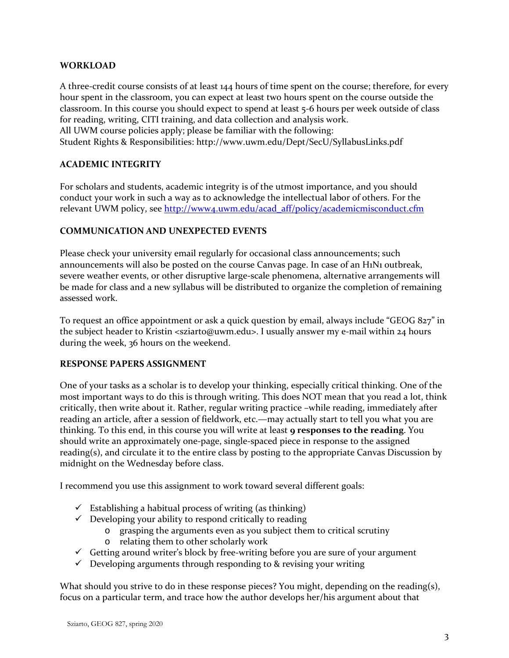# **WORKLOAD**

A three-credit course consists of at least 144 hours of time spent on the course; therefore, for every hour spent in the classroom, you can expect at least two hours spent on the course outside the classroom. In this course you should expect to spend at least 5-6 hours per week outside of class for reading, writing, CITI training, and data collection and analysis work. All UWM course policies apply; please be familiar with the following: Student Rights & Responsibilities:<http://www.uwm.edu/Dept/SecU/SyllabusLinks.pdf>

# **ACADEMIC INTEGRITY**

For scholars and students, academic integrity is of the utmost importance, and you should conduct your work in such a way as to acknowledge the intellectual labor of others. For the relevant UWM policy, see [http://www4.uwm.edu/acad\\_aff/policy/academicmisconduct.cfm](http://www4.uwm.edu/acad_aff/policy/academicmisconduct.cfm)

# **COMMUNICATION AND UNEXPECTED EVENTS**

Please check your university email regularly for occasional class announcements; such announcements will also be posted on the course Canvas page. In case of an H1N1 outbreak, severe weather events, or other disruptive large-scale phenomena, alternative arrangements will be made for class and a new syllabus will be distributed to organize the completion of remaining assessed work.

To request an office appointment or ask a quick question by email, always include "GEOG 827" in the subject header to Kristin <sziarto@uwm.edu>. I usually answer my e-mail within 24 hours during the week, 36 hours on the weekend.

# **RESPONSE PAPERS ASSIGNMENT**

One of your tasks as a scholar is to develop your thinking, especially critical thinking. One of the most important ways to do this is through writing. This does NOT mean that you read a lot, think critically, then write about it. Rather, regular writing practice –while reading, immediately after reading an article, after a session of fieldwork, etc.—may actually start to tell you what you are thinking. To this end, in this course you will write at least **9 responses to the reading**. You should write an approximately one-page, single-spaced piece in response to the assigned reading(s), and circulate it to the entire class by posting to the appropriate Canvas Discussion by midnight on the Wednesday before class.

I recommend you use this assignment to work toward several different goals:

- $\checkmark$  Establishing a habitual process of writing (as thinking)
- $\checkmark$  Developing your ability to respond critically to reading
	- o grasping the arguments even as you subject them to critical scrutiny
	- o relating them to other scholarly work
- $\checkmark$  Getting around writer's block by free-writing before you are sure of your argument
- $\checkmark$  Developing arguments through responding to & revising your writing

What should you strive to do in these response pieces? You might, depending on the reading(s), focus on a particular term, and trace how the author develops her/his argument about that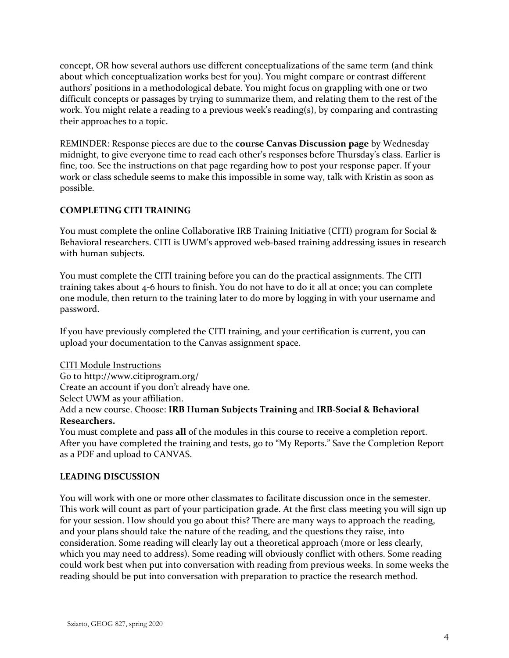concept, OR how several authors use different conceptualizations of the same term (and think about which conceptualization works best for you). You might compare or contrast different authors' positions in a methodological debate. You might focus on grappling with one or two difficult concepts or passages by trying to summarize them, and relating them to the rest of the work. You might relate a reading to a previous week's reading(s), by comparing and contrasting their approaches to a topic.

REMINDER: Response pieces are due to the **course Canvas Discussion page** by Wednesday midnight, to give everyone time to read each other's responses before Thursday's class. Earlier is fine, too. See the instructions on that page regarding how to post your response paper. If your work or class schedule seems to make this impossible in some way, talk with Kristin as soon as possible.

# **COMPLETING CITI TRAINING**

You must complete the online Collaborative IRB Training Initiative (CITI) program for Social & Behavioral researchers. CITI is UWM's approved web-based training addressing issues in research with human subjects.

You must complete the CITI training before you can do the practical assignments. The CITI training takes about 4-6 hours to finish. You do not have to do it all at once; you can complete one module, then return to the training later to do more by logging in with your username and password.

If you have previously completed the CITI training, and your certification is current, you can upload your documentation to the Canvas assignment space.

# CITI Module Instructions

Go to http://www.citiprogram.org/

Create an account if you don't already have one.

Select UWM as your affiliation.

# Add a new course. Choose: **IRB Human Subjects Training** and **IRB-Social & Behavioral Researchers.**

You must complete and pass **all** of the modules in this course to receive a completion report. After you have completed the training and tests, go to "My Reports." Save the Completion Report as a PDF and upload to CANVAS.

# **LEADING DISCUSSION**

You will work with one or more other classmates to facilitate discussion once in the semester. This work will count as part of your participation grade. At the first class meeting you will sign up for your session. How should you go about this? There are many ways to approach the reading, and your plans should take the nature of the reading, and the questions they raise, into consideration. Some reading will clearly lay out a theoretical approach (more or less clearly, which you may need to address). Some reading will obviously conflict with others. Some reading could work best when put into conversation with reading from previous weeks. In some weeks the reading should be put into conversation with preparation to practice the research method.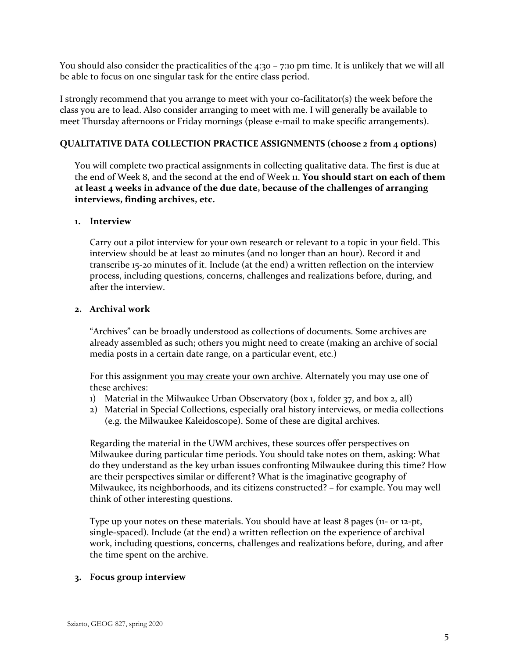You should also consider the practicalities of the  $4:30 - 7:10$  pm time. It is unlikely that we will all be able to focus on one singular task for the entire class period.

I strongly recommend that you arrange to meet with your co-facilitator(s) the week before the class you are to lead. Also consider arranging to meet with me. I will generally be available to meet Thursday afternoons or Friday mornings (please e-mail to make specific arrangements).

## **QUALITATIVE DATA COLLECTION PRACTICE ASSIGNMENTS (choose 2 from 4 options)**

You will complete two practical assignments in collecting qualitative data. The first is due at the end of Week 8, and the second at the end of Week 11. **You should start on each of them at least 4 weeks in advance of the due date, because of the challenges of arranging interviews, finding archives, etc.**

## **1. Interview**

Carry out a pilot interview for your own research or relevant to a topic in your field. This interview should be at least 20 minutes (and no longer than an hour). Record it and transcribe 15-20 minutes of it. Include (at the end) a written reflection on the interview process, including questions, concerns, challenges and realizations before, during, and after the interview.

## **2. Archival work**

"Archives" can be broadly understood as collections of documents. Some archives are already assembled as such; others you might need to create (making an archive of social media posts in a certain date range, on a particular event, etc.)

For this assignment you may create your own archive. Alternately you may use one of these archives:

- 1) Material in the Milwaukee Urban Observatory (box 1, folder 37, and box 2, all)
- 2) Material in Special Collections, especially oral history interviews, or media collections (e.g. the Milwaukee Kaleidoscope). Some of these are digital archives.

Regarding the material in the UWM archives, these sources offer perspectives on Milwaukee during particular time periods. You should take notes on them, asking: What do they understand as the key urban issues confronting Milwaukee during this time? How are their perspectives similar or different? What is the imaginative geography of Milwaukee, its neighborhoods, and its citizens constructed? – for example. You may well think of other interesting questions.

Type up your notes on these materials. You should have at least 8 pages (11- or 12-pt, single-spaced). Include (at the end) a written reflection on the experience of archival work, including questions, concerns, challenges and realizations before, during, and after the time spent on the archive.

## **3. Focus group interview**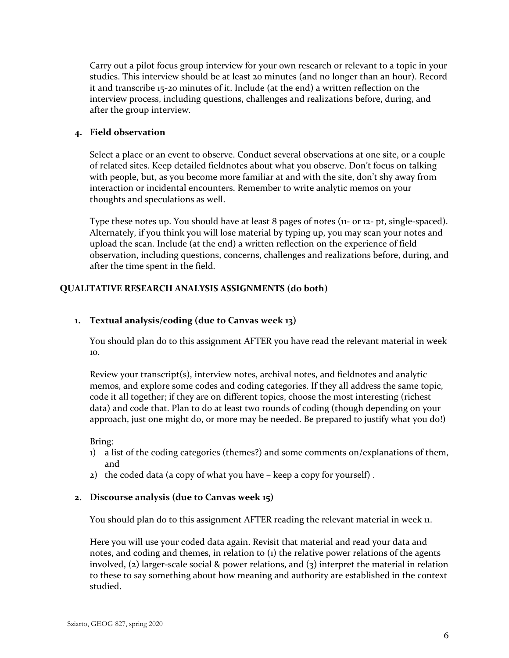Carry out a pilot focus group interview for your own research or relevant to a topic in your studies. This interview should be at least 20 minutes (and no longer than an hour). Record it and transcribe 15-20 minutes of it. Include (at the end) a written reflection on the interview process, including questions, challenges and realizations before, during, and after the group interview.

## **4. Field observation**

Select a place or an event to observe. Conduct several observations at one site, or a couple of related sites. Keep detailed fieldnotes about what you observe. Don't focus on talking with people, but, as you become more familiar at and with the site, don't shy away from interaction or incidental encounters. Remember to write analytic memos on your thoughts and speculations as well.

Type these notes up. You should have at least 8 pages of notes (11- or 12- pt, single-spaced). Alternately, if you think you will lose material by typing up, you may scan your notes and upload the scan. Include (at the end) a written reflection on the experience of field observation, including questions, concerns, challenges and realizations before, during, and after the time spent in the field.

# **QUALITATIVE RESEARCH ANALYSIS ASSIGNMENTS (do both)**

## **1. Textual analysis/coding (due to Canvas week 13)**

You should plan do to this assignment AFTER you have read the relevant material in week 10.

Review your transcript(s), interview notes, archival notes, and fieldnotes and analytic memos, and explore some codes and coding categories. If they all address the same topic, code it all together; if they are on different topics, choose the most interesting (richest data) and code that. Plan to do at least two rounds of coding (though depending on your approach, just one might do, or more may be needed. Be prepared to justify what you do!)

## Bring:

- 1) a list of the coding categories (themes?) and some comments on/explanations of them, and
- 2) the coded data (a copy of what you have keep a copy for yourself) .

## **2. Discourse analysis (due to Canvas week 15)**

You should plan do to this assignment AFTER reading the relevant material in week 11.

Here you will use your coded data again. Revisit that material and read your data and notes, and coding and themes, in relation to (1) the relative power relations of the agents involved, (2) larger-scale social & power relations, and (3) interpret the material in relation to these to say something about how meaning and authority are established in the context studied.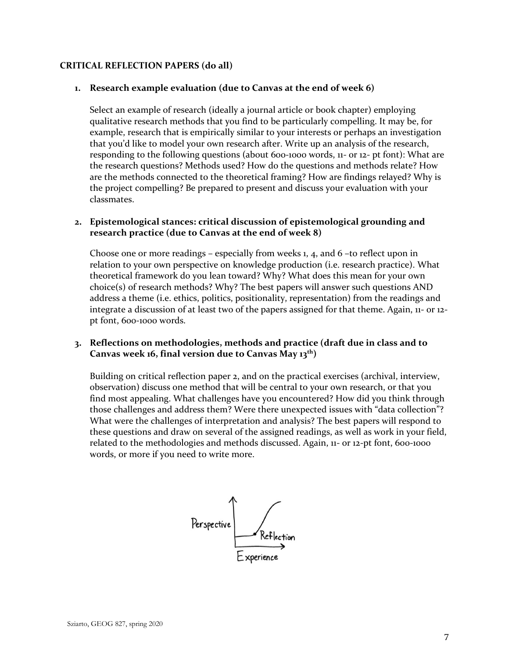## **CRITICAL REFLECTION PAPERS (do all)**

## **1. Research example evaluation (due to Canvas at the end of week 6)**

Select an example of research (ideally a journal article or book chapter) employing qualitative research methods that you find to be particularly compelling. It may be, for example, research that is empirically similar to your interests or perhaps an investigation that you'd like to model your own research after. Write up an analysis of the research, responding to the following questions (about 600-1000 words, 11- or 12- pt font): What are the research questions? Methods used? How do the questions and methods relate? How are the methods connected to the theoretical framing? How are findings relayed? Why is the project compelling? Be prepared to present and discuss your evaluation with your classmates.

# **2. Epistemological stances: critical discussion of epistemological grounding and research practice (due to Canvas at the end of week 8)**

Choose one or more readings – especially from weeks 1, 4, and 6 –to reflect upon in relation to your own perspective on knowledge production (i.e. research practice). What theoretical framework do you lean toward? Why? What does this mean for your own choice(s) of research methods? Why? The best papers will answer such questions AND address a theme (i.e. ethics, politics, positionality, representation) from the readings and integrate a discussion of at least two of the papers assigned for that theme. Again, 11- or 12 pt font, 600-1000 words.

## **3. Reflections on methodologies, methods and practice (draft due in class and to Canvas week 16, final version due to Canvas May 13th)**

Building on critical reflection paper 2, and on the practical exercises (archival, interview, observation) discuss one method that will be central to your own research, or that you find most appealing. What challenges have you encountered? How did you think through those challenges and address them? Were there unexpected issues with "data collection"? What were the challenges of interpretation and analysis? The best papers will respond to these questions and draw on several of the assigned readings, as well as work in your field, related to the methodologies and methods discussed. Again, 11- or 12-pt font, 600-1000 words, or more if you need to write more.

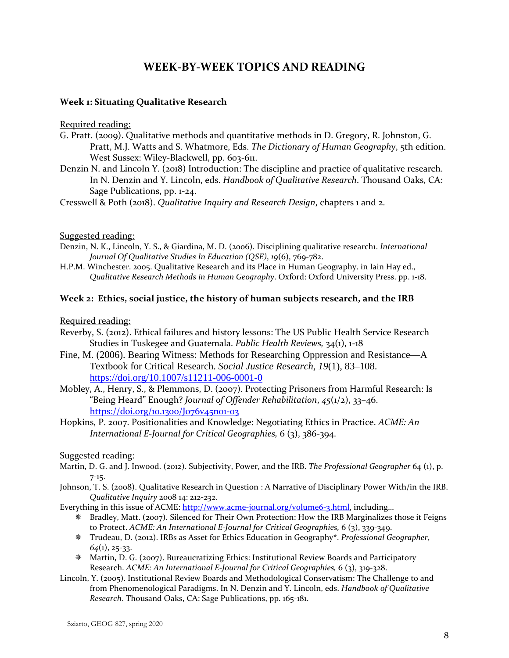# **WEEK-BY-WEEK TOPICS AND READING**

## **Week 1: Situating Qualitative Research**

#### Required reading:

- G. Pratt. (2009). Qualitative methods and quantitative methods in D. Gregory, R. Johnston, G. Pratt, M.J. Watts and S. Whatmore, Eds. *The Dictionary of Human Geography*, 5th edition. West Sussex: Wiley-Blackwell, pp. 603-611.
- Denzin N. and Lincoln Y. (2018) Introduction: The discipline and practice of qualitative research. In N. Denzin and Y. Lincoln, eds. *Handbook of Qualitative Research*. Thousand Oaks, CA: Sage Publications, pp. 1-24.

Cresswell & Poth (2018). *Qualitative Inquiry and Research Design*, chapters 1 and 2.

Suggested reading:

- Denzin, N. K., Lincoln, Y. S., & Giardina, M. D. (2006). Disciplining qualitative research1. *International Journal Of Qualitative Studies In Education (QSE)*, *19*(6), 769-782.
- H.P.M. Winchester. 2005. Qualitative Research and its Place in Human Geography. in Iain Hay ed., *Qualitative Research Methods in Human Geography*. Oxford: Oxford University Press. pp. 1-18.

## **Week 2: Ethics, social justice, the history of human subjects research, and the IRB**

## Required reading:

- Reverby, S. (2012). Ethical failures and history lessons: The US Public Health Service Research Studies in Tuskegee and Guatemala. *Public Health Reviews,* 34(1), 1-18
- Fine, M. (2006). Bearing Witness: Methods for Researching Oppression and Resistance—A Textbook for Critical Research. *Social Justice Research*, *19*(1), 83–108. <https://doi.org/10.1007/s11211-006-0001-0>
- Mobley, A., Henry, S., & Plemmons, D. (2007). Protecting Prisoners from Harmful Research: Is "Being Heard" Enough? *Journal of Offender Rehabilitation*, *45*(1/2), 33–46. <https://doi.org/10.1300/J076v45n01-03>
- Hopkins, P. 2007. Positionalities and Knowledge: Negotiating Ethics in Practice. *ACME: An International E-Journal for Critical Geographies,* 6 (3), 386-394.

## Suggested reading:

- Martin, D. G. and J. Inwood. (2012). Subjectivity, Power, and the IRB. *The Professional Geographer* 64 (1), p. 7-15.
- Johnson, T. S. (2008). Qualitative Research in Question : A Narrative of Disciplinary Power With/in the IRB. *Qualitative Inquiry* 2008 14: 212-232.

Everything in this issue of ACME: [http://www.acme-journal.org/volume6-3.html,](http://www.acme-journal.org/volume6-3.html) including...

- Bradley, Matt. (2007). Silenced for Their Own Protection: How the IRB Marginalizes those it Feigns to Protect. *ACME: An International E-Journal for Critical Geographies,* 6 (3), 339-349.
- Trudeau, D. (2012). IRBs as Asset for Ethics Education in Geography\*. *Professional Geographer*, *64*(1), 25-33.
- Martin, D. G. (2007). Bureaucratizing Ethics: Institutional Review Boards and Participatory Research. *ACME: An International E-Journal for Critical Geographies,* 6 (3), 319-328.
- Lincoln, Y. (2005). Institutional Review Boards and Methodological Conservatism: The Challenge to and from Phenomenological Paradigms. In N. Denzin and Y. Lincoln, eds. *Handbook of Qualitative Research*. Thousand Oaks, CA: Sage Publications, pp. 165-181.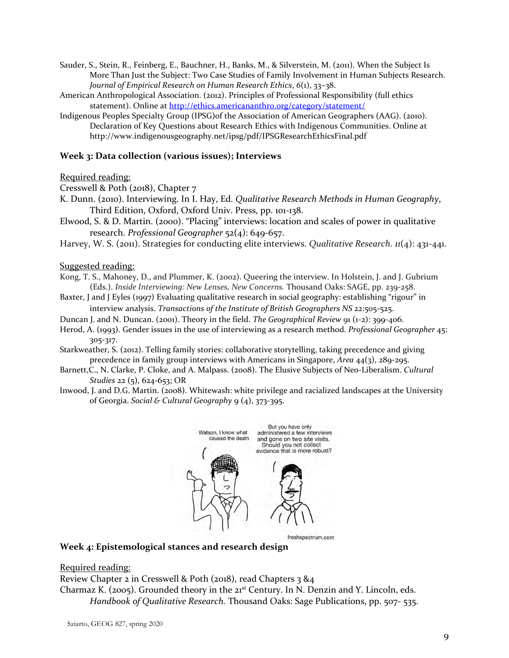- Sauder, S., Stein, R., Feinberg, E., Bauchner, H., Banks, M., & Silverstein, M. (2011). When the Subject Is More Than Just the Subject: Two Case Studies of Family Involvement in Human Subjects Research. *Journal of Empirical Research on Human Research Ethics*, *6*(1), 33–38.
- American Anthropological Association. (2012). Principles of Professional Responsibility (full ethics statement). Online a[t http://ethics.americananthro.org/category/statement/](http://ethics.americananthro.org/category/statement/)
- Indigenous Peoples Specialty Group (IPSG)of the Association of American Geographers (AAG). (2010). Declaration of Key Questions about Research Ethics with Indigenous Communities. Online at http://www.indigenousgeography.net/ipsg/pdf/IPSGResearchEthicsFinal.pdf

## **Week 3: Data collection (various issues); Interviews**

## Required reading:

Cresswell & Poth (2018), Chapter 7

- K. Dunn. (2010). Interviewing. In I. Hay, Ed. *Qualitative Research Methods in Human Geography*, Third Edition, Oxford, Oxford Univ. Press, pp. 101-138.
- Elwood, S. & D. Martin. (2000). "Placing" interviews: location and scales of power in qualitative research. *Professional Geographer* 52(4): 649-657.
- Harvey, W. S. (2011). Strategies for conducting elite interviews. *Qualitative Research*. *11*(4): 431-441.

Suggested reading:

- Kong, T. S., Mahoney, D., and Plummer, K. (2002). Queering the interview. In Holstein, J. and J. Gubrium (Eds.). *Inside Interviewing: New Lenses, New Concerns.* Thousand Oaks: SAGE, pp. 239-258.
- Baxter, J and J Eyles (1997) Evaluating qualitative research in social geography: establishing "rigour" in interview analysis. *Transactions of the Institute of British Geographers NS* 22:505-525.
- Duncan J. and N. Duncan. (2001). Theory in the field. *The Geographical Review* 91 (1-2): 399-406.
- Herod, A. (1993). Gender issues in the use of interviewing as a research method. *Professional Geographer* 45: 305-317.
- Starkweather, S. (2012). Telling family stories: collaborative storytelling, taking precedence and giving precedence in family group interviews with Americans in Singapore, *Area* 44(3), 289-295.
- Barnett,C., N. Clarke, P. Cloke, and A. Malpass. (2008). The Elusive Subjects of Neo-Liberalism. *Cultural Studies* 22 (5), 624-653; OR
- Inwood, J. and D.G. Martin. (2008). Whitewash: white privilege and racialized landscapes at the University of Georgia. *Social & Cultural Geography* 9 (4), 373-395.



freshspectrum.com

#### **Week 4: Epistemological stances and research design**

#### Required reading:

Review Chapter 2 in Cresswell & Poth (2018), read Chapters 3 &4

Charmaz K. (2005). Grounded theory in the 21st Century. In N. Denzin and Y. Lincoln, eds. *Handbook of Qualitative Research.* Thousand Oaks: Sage Publications, pp. 507- 535.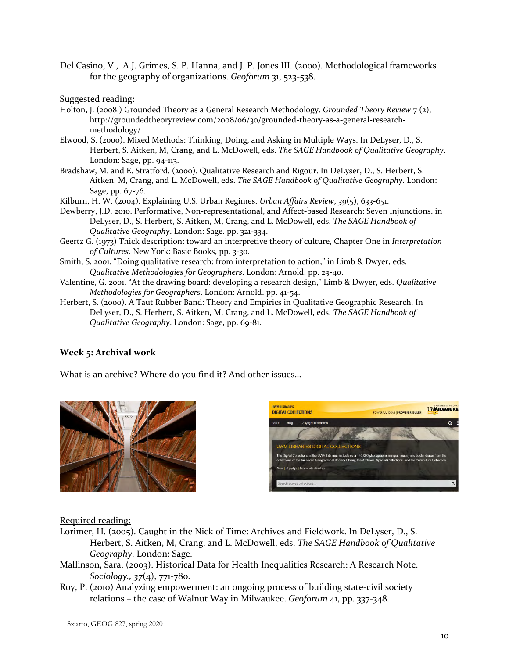Del Casino, V., A.J. Grimes, S. P. Hanna, and J. P. Jones III. (2000). Methodological frameworks for the geography of organizations. *Geoforum* 31, 523-538.

Suggested reading:

- Holton, J. (2008.) Grounded Theory as a General Research Methodology. *Grounded Theory Review* 7 (2), http://groundedtheoryreview.com/2008/06/30/grounded-theory-as-a-general-researchmethodology/
- Elwood, S. (2000). Mixed Methods: Thinking, Doing, and Asking in Multiple Ways. In DeLyser, D., S. Herbert, S. Aitken, M, Crang, and L. McDowell, eds. *The SAGE Handbook of Qualitative Geography*. London: Sage, pp. 94-113.
- Bradshaw, M. and E. Stratford. (2000). Qualitative Research and Rigour. In DeLyser, D., S. Herbert, S. Aitken, M, Crang, and L. McDowell, eds. *The SAGE Handbook of Qualitative Geography*. London: Sage, pp. 67-76.
- Kilburn, H. W. (2004). Explaining U.S. Urban Regimes. *Urban Affairs Review*, *39*(5), 633-651.
- Dewberry, J.D. 2010. Performative, Non-representational, and Affect-based Research: Seven Injunctions. in DeLyser, D., S. Herbert, S. Aitken, M, Crang, and L. McDowell, eds. *The SAGE Handbook of Qualitative Geography*. London: Sage. pp. 321-334.
- Geertz G. (1973) Thick description: toward an interpretive theory of culture, Chapter One in *Interpretation of Cultures*. New York: Basic Books, pp. 3-30.
- Smith, S. 2001. "Doing qualitative research: from interpretation to action," in Limb & Dwyer, eds. *Qualitative Methodologies for Geographers*. London: Arnold. pp. 23-40.
- Valentine, G. 2001. "At the drawing board: developing a research design," Limb & Dwyer, eds. *Qualitative Methodologies for Geographers*. London: Arnold. pp. 41-54.
- Herbert, S. (2000). A Taut Rubber Band: Theory and Empirics in Qualitative Geographic Research. In DeLyser, D., S. Herbert, S. Aitken, M, Crang, and L. McDowell, eds. *The SAGE Handbook of Qualitative Geography*. London: Sage, pp. 69-81.

# **Week 5: Archival work**

What is an archive? Where do you find it? And other issues…



| <b>UWM LIBRARIES</b><br><b>DIGITAL COLLECTIONS</b>                                     | <b>MILWAUKE</b><br>POWERFUL IDEAS PROVEN RESULTS                                                                                                                                                                                                     |
|----------------------------------------------------------------------------------------|------------------------------------------------------------------------------------------------------------------------------------------------------------------------------------------------------------------------------------------------------|
| About<br>Blog<br>Copyright information                                                 |                                                                                                                                                                                                                                                      |
| <b>UWM LIBRARIES DIGITAL COLLECTIONS</b><br>About   Copyright   Browse all collections | The Digital Collections at the UWM Libraries include over 140,000 photographic images, maps, and books drawn from the<br>collections of the American Geographical Society Library, the Archives, Special Collections, and the Curriculum Collection. |
| Search across collections                                                              |                                                                                                                                                                                                                                                      |
|                                                                                        |                                                                                                                                                                                                                                                      |

- Lorimer, H. (2005). Caught in the Nick of Time: Archives and Fieldwork. In DeLyser, D., S. Herbert, S. Aitken, M, Crang, and L. McDowell, eds. *The SAGE Handbook of Qualitative Geography*. London: Sage.
- Mallinson, Sara. (2003). Historical Data for Health Inequalities Research: A Research Note. *Sociology., 37*(4), 771-780.
- Roy, P. (2010) Analyzing empowerment: an ongoing process of building state-civil society relations – the case of Walnut Way in Milwaukee. *Geoforum* 41, pp. 337-348.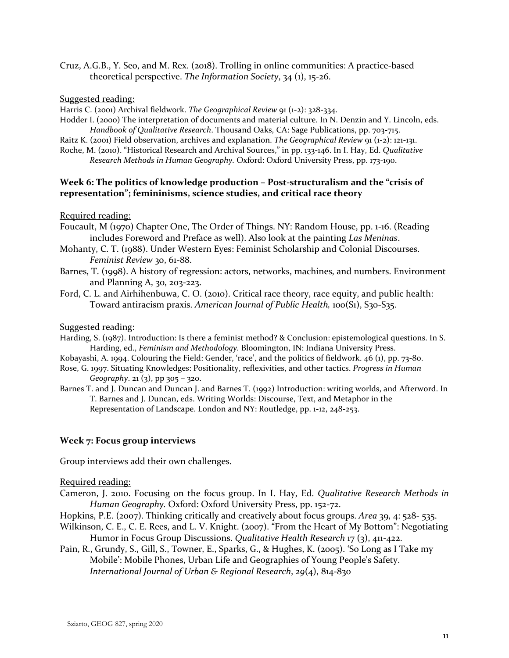Cruz, A.G.B., Y. Seo, and M. Rex. (2018). Trolling in online communities: A practice-based theoretical perspective. *The Information Society*, 34 (1), 15-26.

#### Suggested reading:

Harris C. (2001) Archival fieldwork. *The Geographical Review* 91 (1-2): 328-334.

- Hodder I. (2000) The interpretation of documents and material culture. In N. Denzin and Y. Lincoln, eds. *Handbook of Qualitative Research*. Thousand Oaks, CA: Sage Publications, pp. 703-715.
- Raitz K. (2001) Field observation, archives and explanation. *The Geographical Review* 91 (1-2): 121-131.
- Roche, M. (2010). "Historical Research and Archival Sources," in pp. 133-146. In I. Hay, Ed. *Qualitative*

*Research Methods in Human Geography.* Oxford: Oxford University Press, pp. 173-190.

## **Week 6: The politics of knowledge production – Post-structuralism and the "crisis of representation"; femininisms, science studies, and critical race theory**

#### Required reading:

- Foucault, M (1970) Chapter One, The Order of Things. NY: Random House, pp. 1-16. (Reading includes Foreword and Preface as well). Also look at the painting *Las Meninas*.
- Mohanty, C. T. (1988). Under Western Eyes: Feminist Scholarship and Colonial Discourses. *Feminist Review* 30, 61-88.
- Barnes, T. (1998). A history of regression: actors, networks, machines, and numbers. Environment and Planning A, 30, 203-223.
- Ford, C. L. and Airhihenbuwa, C. O. (2010). Critical race theory, race equity, and public health: Toward antiracism praxis. *American Journal of Public Health,* 100(S1), S30-S35.

#### Suggested reading:

- Harding, S. (1987). Introduction: Is there a feminist method? & Conclusion: epistemological questions. In S. Harding, ed., *Feminism and Methodology.* Bloomington, IN: Indiana University Press.
- Kobayashi, A. 1994. Colouring the Field: Gender, 'race', and the politics of fieldwork. 46 (1), pp. 73-80.
- Rose, G. 1997. Situating Knowledges: Positionality, reflexivities, and other tactics. *Progress in Human*

*Geography*. 21 (3), pp 305 – 320.

Barnes T. and J. Duncan and Duncan J. and Barnes T. (1992) Introduction: writing worlds, and Afterword. In T. Barnes and J. Duncan, eds. Writing Worlds: Discourse, Text, and Metaphor in the Representation of Landscape. London and NY: Routledge, pp. 1-12, 248-253.

#### **Week 7: Focus group interviews**

Group interviews add their own challenges.

- Cameron, J. 2010. Focusing on the focus group. In I. Hay, Ed. *Qualitative Research Methods in Human Geography.* Oxford: Oxford University Press, pp. 152-72.
- Hopkins, P.E. (2007). Thinking critically and creatively about focus groups. *Area* 39, 4: 528- 535.
- Wilkinson, C. E., C. E. Rees, and L. V. Knight. (2007). "From the Heart of My Bottom": Negotiating Humor in Focus Group Discussions. *Qualitative Health Research* 17 (3), 411-422.
- Pain, R., Grundy, S., Gill, S., Towner, E., Sparks, G., & Hughes, K. (2005). 'So Long as I Take my Mobile': Mobile Phones, Urban Life and Geographies of Young People's Safety. *International Journal of Urban & Regional Research*, *29*(4), 814-830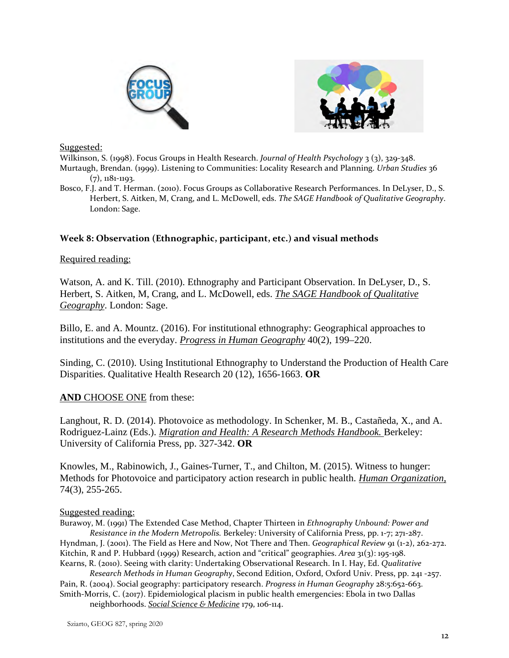



Suggested:

Wilkinson, S. (1998). Focus Groups in Health Research. *Journal of Health Psychology* 3 (3), 329-348. Murtaugh, Brendan. (1999). Listening to Communities: Locality Research and Planning. *Urban Studies* 36 (7), 1181-1193.

Bosco, F.J. and T. Herman. (2010). Focus Groups as Collaborative Research Performances. In DeLyser, D., S. Herbert, S. Aitken, M, Crang, and L. McDowell, eds. *The SAGE Handbook of Qualitative Geography*. London: Sage.

# **Week 8: Observation (Ethnographic, participant, etc.) and visual methods**

## Required reading:

Watson, A. and K. Till. (2010). Ethnography and Participant Observation. In DeLyser, D., S. Herbert, S. Aitken, M, Crang, and L. McDowell, eds. *The SAGE Handbook of Qualitative Geography*. London: Sage.

Billo, E. and A. Mountz. (2016). For institutional ethnography: Geographical approaches to institutions and the everyday. *Progress in Human Geography* 40(2), 199–220.

Sinding, C. (2010). Using Institutional Ethnography to Understand the Production of Health Care Disparities. Qualitative Health Research 20 (12), 1656-1663. **OR**

# **AND** CHOOSE ONE from these:

Langhout, R. D. (2014). Photovoice as methodology. In Schenker, M. B., Castañeda, X., and A. Rodriguez-Lainz (Eds.). *Migration and Health: A Research Methods Handbook.* Berkeley: University of California Press, pp. 327-342. **OR** 

Knowles, M., Rabinowich, J., Gaines-Turner, T., and Chilton, M. (2015). Witness to hunger: Methods for Photovoice and participatory action research in public health. *Human Organization,*  74(3), 255-265.

## Suggested reading:

Burawoy, M. (1991) The Extended Case Method, Chapter Thirteen in *Ethnography Unbound: Power and Resistance in the Modern Metropolis.* Berkeley: University of California Press, pp. 1-7; 271-287. Hyndman, J. (2001). The Field as Here and Now, Not There and Then. *Geographical Review* 91 (1-2), 262-272. Kitchin, R and P. Hubbard (1999) Research, action and "critical" geographies. *Area* 31(3): 195-198. Kearns, R. (2010). Seeing with clarity: Undertaking Observational Research. In I. Hay, Ed. *Qualitative* 

*Research Methods in Human Geography*, Second Edition, Oxford, Oxford Univ. Press, pp. 241 -257. Pain, R. (2004). Social geography: participatory research. *Progress in Human Geography* 28:5:652-663. Smith-Morris, C. (2017). Epidemiological placism in public health emergencies: Ebola in two Dallas

neighborhoods. *Social Science & Medicine* 179, 106-114.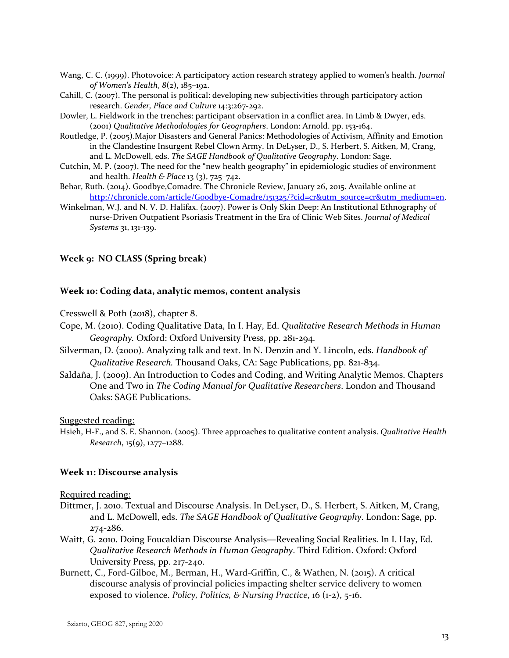- Wang, C. C. (1999). Photovoice: A participatory action research strategy applied to women's health. *Journal of Women's Health*, *8*(2), 185–192.
- Cahill, C. (2007). The personal is political: developing new subjectivities through participatory action research. *Gender, Place and Culture* 14:3:267-292.
- Dowler, L. Fieldwork in the trenches: participant observation in a conflict area. In Limb & Dwyer, eds. (2001) *Qualitative Methodologies for Geographers*. London: Arnold. pp. 153-164.
- Routledge, P. (2005).Major Disasters and General Panics: Methodologies of Activism, Affinity and Emotion in the Clandestine Insurgent Rebel Clown Army. In DeLyser, D., S. Herbert, S. Aitken, M, Crang, and L. McDowell, eds. *The SAGE Handbook of Qualitative Geography*. London: Sage.
- Cutchin, M. P. (2007). The need for the "new health geography" in epidemiologic studies of environment and health. *Health & Place* 13 (3), 725–742.
- Behar, Ruth. (2014). Goodbye,Comadre. The Chronicle Review, January 26, 2015. Available online at [http://chronicle.com/article/Goodbye-Comadre/151325/?cid=cr&utm\\_source=cr&utm\\_medium=en.](http://chronicle.com/article/Goodbye-Comadre/151325/?cid=cr&utm_source=cr&utm_medium=en)
- Winkelman, W.J. and N. V. D. Halifax. (2007). Power is Only Skin Deep: An Institutional Ethnography of nurse-Driven Outpatient Psoriasis Treatment in the Era of Clinic Web Sites. *Journal of Medical Systems* 31, 131-139.

## **Week 9: NO CLASS (Spring break)**

#### **Week 10: Coding data, analytic memos, content analysis**

Cresswell & Poth (2018), chapter 8.

- Cope, M. (2010). Coding Qualitative Data, In I. Hay, Ed. *Qualitative Research Methods in Human Geography.* Oxford: Oxford University Press, pp. 281-294.
- Silverman, D. (2000). Analyzing talk and text. In N. Denzin and Y. Lincoln, eds. *Handbook of Qualitative Research.* Thousand Oaks, CA: Sage Publications, pp. 821-834.
- Saldaña, J. (2009). An Introduction to Codes and Coding, and Writing Analytic Memos. Chapters One and Two in *The Coding Manual for Qualitative Researchers*. London and Thousand Oaks: SAGE Publications.

Suggested reading:

Hsieh, H-F., and S. E. Shannon. (2005). Three approaches to qualitative content analysis. *Qualitative Health Research*, 15(9), 1277–1288.

#### **Week 11: Discourse analysis**

- Dittmer, J. 2010. Textual and Discourse Analysis. In DeLyser, D., S. Herbert, S. Aitken, M, Crang, and L. McDowell, eds. *The SAGE Handbook of Qualitative Geography*. London: Sage, pp. 274-286.
- Waitt, G. 2010. Doing Foucaldian Discourse Analysis—Revealing Social Realities. In I. Hay, Ed. *Qualitative Research Methods in Human Geography*. Third Edition. Oxford: Oxford University Press, pp. 217-240.
- Burnett, C., Ford-Gilboe, M., Berman, H., Ward-Griffin, C., & Wathen, N. (2015). A critical discourse analysis of provincial policies impacting shelter service delivery to women exposed to violence. *Policy, Politics, & Nursing Practice*, 16 (1-2), 5-16.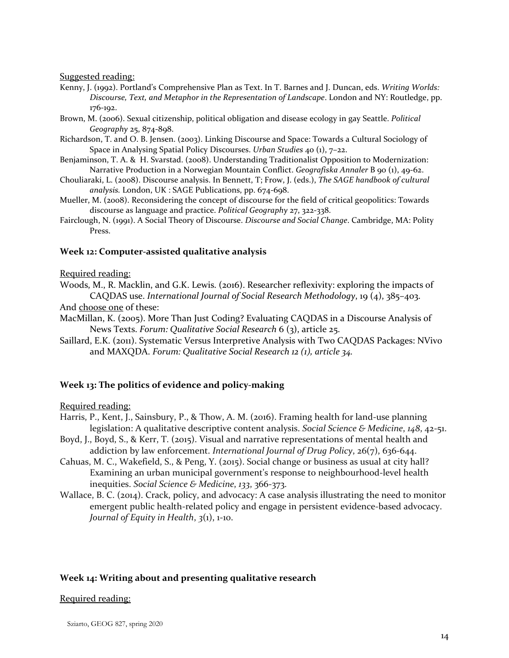Suggested reading:

- Kenny, J. (1992). Portland's Comprehensive Plan as Text. In T. Barnes and J. Duncan, eds. *Writing Worlds: Discourse, Text, and Metaphor in the Representation of Landscape*. London and NY: Routledge, pp. 176-192.
- Brown, M. (2006). Sexual citizenship, political obligation and disease ecology in gay Seattle. *Political Geography* 25, 874-898.
- Richardson, T. and O. B. Jensen. (2003). Linking Discourse and Space: Towards a Cultural Sociology of Space in Analysing Spatial Policy Discourses. *Urban Studies* 40 (1), 7–22.
- Benjaminson, T. A. & H. Svarstad. (2008). Understanding Traditionalist Opposition to Modernization: Narrative Production in a Norwegian Mountain Conflict. *Geografiska Annaler* B 90 (1), 49-62.
- Chouliaraki, L. (2008). Discourse analysis. In Bennett, T; Frow, J. (eds.), *The SAGE handbook of cultural analysis.* London, UK : SAGE Publications, pp. 674-698.
- Mueller, M. (2008). Reconsidering the concept of discourse for the field of critical geopolitics: Towards discourse as language and practice. *Political Geography* 27, 322-338.
- Fairclough, N. (1991). A Social Theory of Discourse. *Discourse and Social Change*. Cambridge, MA: Polity Press.

#### **Week 12: Computer-assisted qualitative analysis**

#### Required reading:

Woods, M., R. Macklin, and G.K. Lewis. (2016). Researcher reflexivity: exploring the impacts of CAQDAS use. *International Journal of Social Research Methodology*, 19 (4), 385–403.

And choose one of these:

- MacMillan, K. (2005). More Than Just Coding? Evaluating CAQDAS in a Discourse Analysis of News Texts. *Forum: Qualitative Social Research* 6 (3), article 25.
- Saillard, E.K. (2011). Systematic Versus Interpretive Analysis with Two CAQDAS Packages: NVivo and MAXQDA. *Forum: Qualitative Social Research 12 (1), article 34.*

## **Week 13: The politics of evidence and policy-making**

Required reading:

- Harris, P., Kent, J., Sainsbury, P., & Thow, A. M. (2016). Framing health for land-use planning legislation: A qualitative descriptive content analysis. *Social Science & Medicine*, *148*, 42-51.
- Boyd, J., Boyd, S., & Kerr, T. (2015). Visual and narrative representations of mental health and addiction by law enforcement. *International Journal of Drug Policy*, 26(7), 636-644.
- Cahuas, M. C., Wakefield, S., & Peng, Y. (2015). Social change or business as usual at city hall? Examining an urban municipal government's response to neighbourhood-level health inequities. *Social Science & Medicine*, *133*, 366-373.
- Wallace, B. C. (2014). Crack, policy, and advocacy: A case analysis illustrating the need to monitor emergent public health-related policy and engage in persistent evidence-based advocacy. *Journal of Equity in Health*, *3*(1), 1-10.

## **Week 14: Writing about and presenting qualitative research**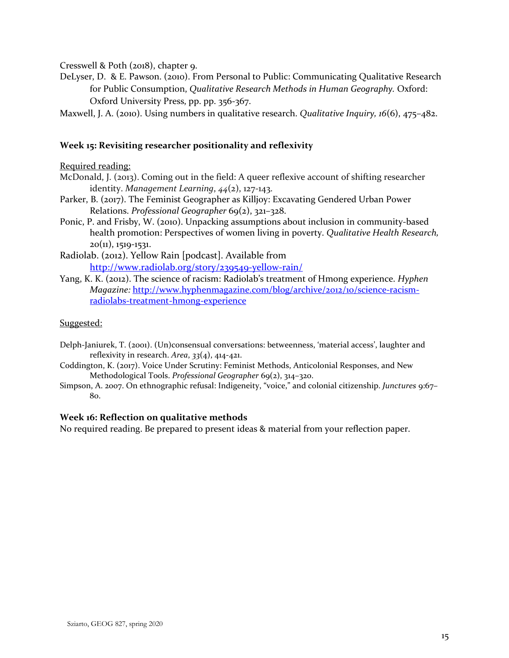Cresswell & Poth (2018), chapter 9.

- DeLyser, D. & E. Pawson. (2010). From Personal to Public: Communicating Qualitative Research for Public Consumption, *Qualitative Research Methods in Human Geography.* Oxford: Oxford University Press, pp. pp. 356-367.
- Maxwell, J. A. (2010). Using numbers in qualitative research. *Qualitative Inquiry, 16*(6), 475–482.

## **Week 15: Revisiting researcher positionality and reflexivity**

## Required reading:

- McDonald, J. (2013). Coming out in the field: A queer reflexive account of shifting researcher identity. *Management Learning*, *44*(2), 127-143.
- Parker, B. (2017). The Feminist Geographer as Killjoy: Excavating Gendered Urban Power Relations. *Professional Geographer* 69(2), 321-328.
- Ponic, P. and Frisby, W. (2010). Unpacking assumptions about inclusion in community-based health promotion: Perspectives of women living in poverty. *Qualitative Health Research,*   $20(11)$ , 1519-1531.
- Radiolab. (2012). Yellow Rain [podcast]. Available from <http://www.radiolab.org/story/239549-yellow-rain/>
- Yang, K. K. (2012). The science of racism: Radiolab's treatment of Hmong experience. *Hyphen Magazine:* [http://www.hyphenmagazine.com/blog/archive/2012/10/science-racism](http://www.hyphenmagazine.com/blog/archive/2012/10/science-racism-radiolabs-treatment-hmong-experience)[radiolabs-treatment-hmong-experience](http://www.hyphenmagazine.com/blog/archive/2012/10/science-racism-radiolabs-treatment-hmong-experience)

## Suggested:

- Delph-Janiurek, T. (2001). (Un)consensual conversations: betweenness, 'material access', laughter and reflexivity in research. *Area*, *33*(4), 414-421.
- Coddington, K. (2017). Voice Under Scrutiny: Feminist Methods, Anticolonial Responses, and New Methodological Tools. *Professional Geographer* 69(2), 314-320.
- Simpson, A. 2007. On ethnographic refusal: Indigeneity, "voice," and colonial citizenship. *Junctures* 9:67– 80.

## **Week 16: Reflection on qualitative methods**

No required reading. Be prepared to present ideas & material from your reflection paper.